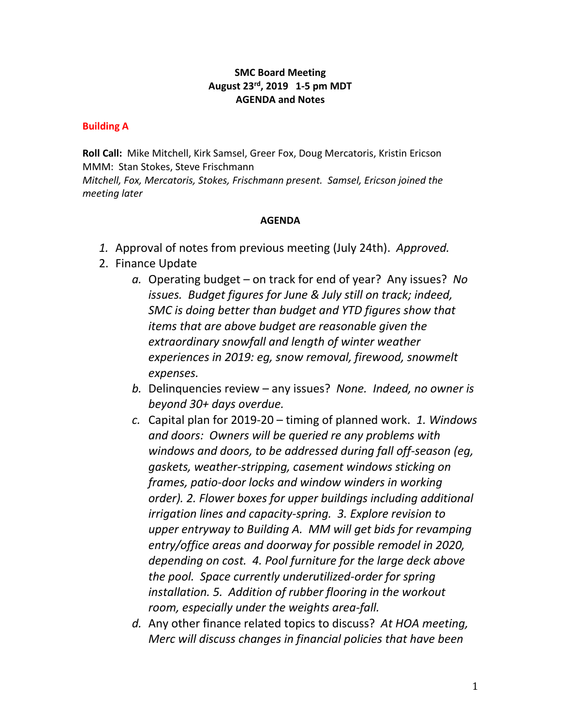### **SMC Board Meeting August 23rd, 2019 1-5 pm MDT AGENDA and Notes**

#### **Building A**

**Roll Call:** Mike Mitchell, Kirk Samsel, Greer Fox, Doug Mercatoris, Kristin Ericson MMM: Stan Stokes, Steve Frischmann *Mitchell, Fox, Mercatoris, Stokes, Frischmann present. Samsel, Ericson joined the meeting later*

#### **AGENDA**

- *1.* Approval of notes from previous meeting (July 24th). *Approved.*
- 2. Finance Update
	- *a.* Operating budget on track for end of year? Any issues? *No issues. Budget figures for June & July still on track; indeed, SMC is doing better than budget and YTD figures show that items that are above budget are reasonable given the extraordinary snowfall and length of winter weather experiences in 2019: eg, snow removal, firewood, snowmelt expenses.*
	- *b.* Delinquencies review any issues? *None. Indeed, no owner is beyond 30+ days overdue.*
	- *c.* Capital plan for 2019-20 timing of planned work. *1. Windows and doors: Owners will be queried re any problems with windows and doors, to be addressed during fall off-season (eg, gaskets, weather-stripping, casement windows sticking on frames, patio-door locks and window winders in working order). 2. Flower boxes for upper buildings including additional irrigation lines and capacity-spring. 3. Explore revision to upper entryway to Building A. MM will get bids for revamping entry/office areas and doorway for possible remodel in 2020, depending on cost. 4. Pool furniture for the large deck above the pool. Space currently underutilized-order for spring installation. 5. Addition of rubber flooring in the workout room, especially under the weights area-fall.*
	- *d.* Any other finance related topics to discuss? *At HOA meeting, Merc will discuss changes in financial policies that have been*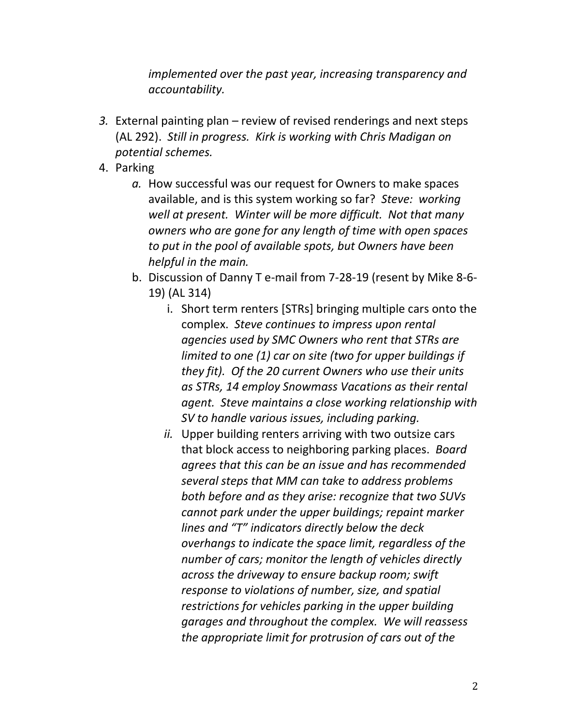*implemented over the past year, increasing transparency and accountability.*

- *3.* External painting plan review of revised renderings and next steps (AL 292). *Still in progress. Kirk is working with Chris Madigan on potential schemes.*
- 4. Parking
	- *a.* How successful was our request for Owners to make spaces available, and is this system working so far? *Steve: working well at present. Winter will be more difficult. Not that many owners who are gone for any length of time with open spaces to put in the pool of available spots, but Owners have been helpful in the main.*
	- b. Discussion of Danny T e-mail from 7-28-19 (resent by Mike 8-6- 19) (AL 314)
		- i. Short term renters [STRs] bringing multiple cars onto the complex. *Steve continues to impress upon rental agencies used by SMC Owners who rent that STRs are limited to one (1) car on site (two for upper buildings if they fit). Of the 20 current Owners who use their units as STRs, 14 employ Snowmass Vacations as their rental agent. Steve maintains a close working relationship with SV to handle various issues, including parking.*
		- *ii.* Upper building renters arriving with two outsize cars that block access to neighboring parking places. *Board agrees that this can be an issue and has recommended several steps that MM can take to address problems both before and as they arise: recognize that two SUVs cannot park under the upper buildings; repaint marker lines and "T" indicators directly below the deck overhangs to indicate the space limit, regardless of the number of cars; monitor the length of vehicles directly across the driveway to ensure backup room; swift response to violations of number, size, and spatial restrictions for vehicles parking in the upper building garages and throughout the complex. We will reassess the appropriate limit for protrusion of cars out of the*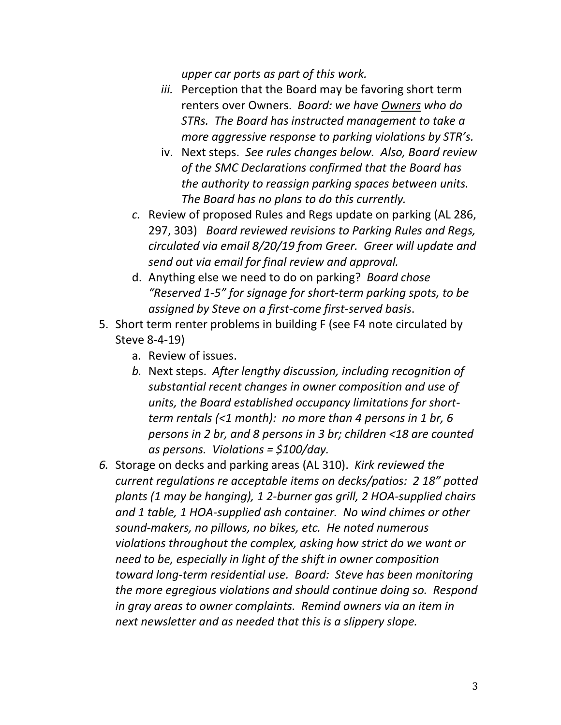*upper car ports as part of this work.* 

- *iii.* Perception that the Board may be favoring short term renters over Owners. *Board: we have Owners who do STRs. The Board has instructed management to take a more aggressive response to parking violations by STR's.*
- iv. Next steps. *See rules changes below. Also, Board review of the SMC Declarations confirmed that the Board has the authority to reassign parking spaces between units. The Board has no plans to do this currently.*
- *c.* Review of proposed Rules and Regs update on parking (AL 286, 297, 303) *Board reviewed revisions to Parking Rules and Regs, circulated via email 8/20/19 from Greer. Greer will update and send out via email for final review and approval.*
- d. Anything else we need to do on parking? *Board chose "Reserved 1-5" for signage for short-term parking spots, to be assigned by Steve on a first-come first-served basis*.
- 5. Short term renter problems in building F (see F4 note circulated by Steve 8-4-19)
	- a. Review of issues.
	- *b.* Next steps. *After lengthy discussion, including recognition of substantial recent changes in owner composition and use of units, the Board established occupancy limitations for shortterm rentals (<1 month): no more than 4 persons in 1 br, 6 persons in 2 br, and 8 persons in 3 br; children <18 are counted as persons. Violations = \$100/day.*
- *6.* Storage on decks and parking areas (AL 310). *Kirk reviewed the current regulations re acceptable items on decks/patios: 2 18" potted plants (1 may be hanging), 1 2-burner gas grill, 2 HOA-supplied chairs and 1 table, 1 HOA-supplied ash container. No wind chimes or other sound-makers, no pillows, no bikes, etc. He noted numerous violations throughout the complex, asking how strict do we want or need to be, especially in light of the shift in owner composition toward long-term residential use. Board: Steve has been monitoring the more egregious violations and should continue doing so. Respond in gray areas to owner complaints. Remind owners via an item in next newsletter and as needed that this is a slippery slope.*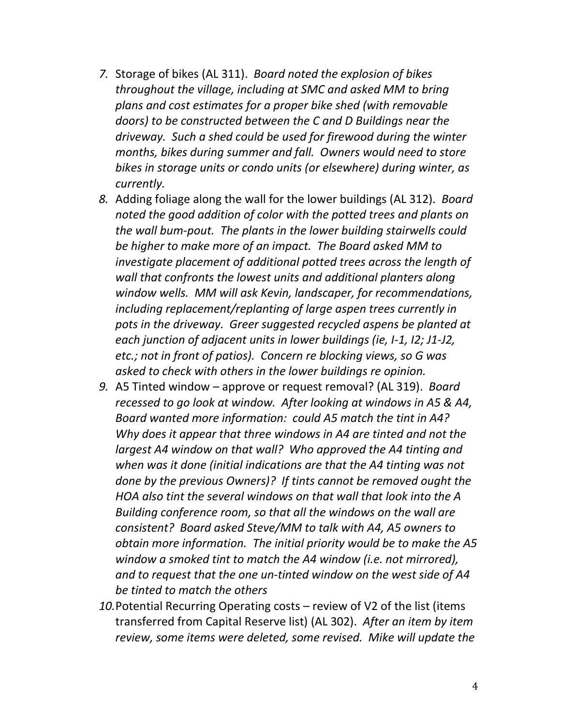- *7.* Storage of bikes (AL 311). *Board noted the explosion of bikes throughout the village, including at SMC and asked MM to bring plans and cost estimates for a proper bike shed (with removable doors) to be constructed between the C and D Buildings near the driveway. Such a shed could be used for firewood during the winter months, bikes during summer and fall. Owners would need to store bikes in storage units or condo units (or elsewhere) during winter, as currently.*
- *8.* Adding foliage along the wall for the lower buildings (AL 312). *Board noted the good addition of color with the potted trees and plants on the wall bum-pout. The plants in the lower building stairwells could be higher to make more of an impact. The Board asked MM to investigate placement of additional potted trees across the length of wall that confronts the lowest units and additional planters along window wells. MM will ask Kevin, landscaper, for recommendations, including replacement/replanting of large aspen trees currently in pots in the driveway. Greer suggested recycled aspens be planted at each junction of adjacent units in lower buildings (ie, I-1, I2; J1-J2, etc.; not in front of patios). Concern re blocking views, so G was asked to check with others in the lower buildings re opinion.*
- *9.* A5 Tinted window approve or request removal? (AL 319). *Board recessed to go look at window. After looking at windows in A5 & A4, Board wanted more information: could A5 match the tint in A4? Why does it appear that three windows in A4 are tinted and not the largest A4 window on that wall? Who approved the A4 tinting and when was it done (initial indications are that the A4 tinting was not done by the previous Owners)? If tints cannot be removed ought the HOA also tint the several windows on that wall that look into the A Building conference room, so that all the windows on the wall are consistent? Board asked Steve/MM to talk with A4, A5 owners to obtain more information. The initial priority would be to make the A5 window a smoked tint to match the A4 window (i.e. not mirrored), and to request that the one un-tinted window on the west side of A4 be tinted to match the others*
- *10.*Potential Recurring Operating costs review of V2 of the list (items transferred from Capital Reserve list) (AL 302). *After an item by item review, some items were deleted, some revised. Mike will update the*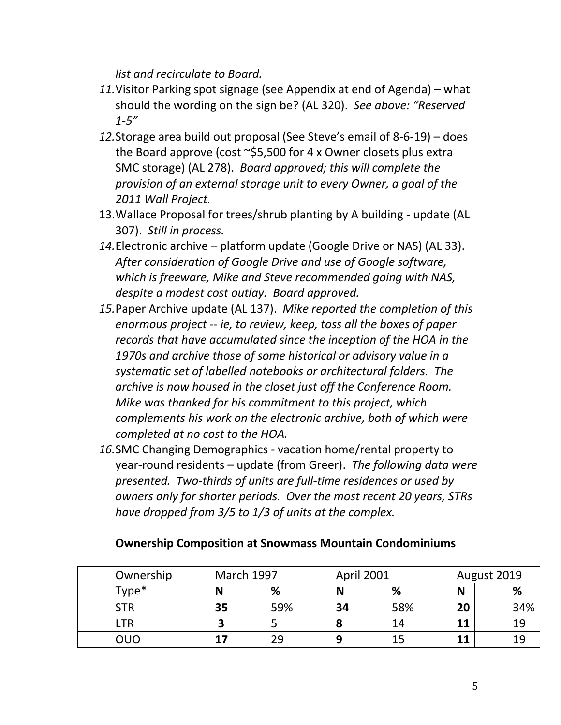*list and recirculate to Board.*

- *11.*Visitor Parking spot signage (see Appendix at end of Agenda) what should the wording on the sign be? (AL 320). *See above: "Reserved 1-5"*
- *12.*Storage area build out proposal (See Steve's email of 8-6-19) does the Board approve (cost  $\sim$ \$5,500 for 4 x Owner closets plus extra SMC storage) (AL 278). *Board approved; this will complete the provision of an external storage unit to every Owner, a goal of the 2011 Wall Project.*
- 13.Wallace Proposal for trees/shrub planting by A building update (AL 307). *Still in process.*
- *14.*Electronic archive platform update (Google Drive or NAS) (AL 33). *After consideration of Google Drive and use of Google software, which is freeware, Mike and Steve recommended going with NAS, despite a modest cost outlay. Board approved.*
- *15.*Paper Archive update (AL 137). *Mike reported the completion of this enormous project -- ie, to review, keep, toss all the boxes of paper records that have accumulated since the inception of the HOA in the 1970s and archive those of some historical or advisory value in a systematic set of labelled notebooks or architectural folders. The archive is now housed in the closet just off the Conference Room. Mike was thanked for his commitment to this project, which complements his work on the electronic archive, both of which were completed at no cost to the HOA.*
- *16.*SMC Changing Demographics vacation home/rental property to year-round residents – update (from Greer). *The following data were presented. Two-thirds of units are full-time residences or used by owners only for shorter periods. Over the most recent 20 years, STRs have dropped from 3/5 to 1/3 of units at the complex.*

## **Ownership Composition at Snowmass Mountain Condominiums**

| Ownership  | <b>March 1997</b> |     | April 2001 |     | August 2019 |     |
|------------|-------------------|-----|------------|-----|-------------|-----|
| Type*      | N                 | %   | N          | %   | N           | %   |
| <b>STR</b> | 35                | 59% | 34         | 58% | 20          | 34% |
| LTR        |                   |     | O          | 14  | 11          | 19  |
| ΟUΟ        | 17                | 29  | 9          | 15  | 11          | 19  |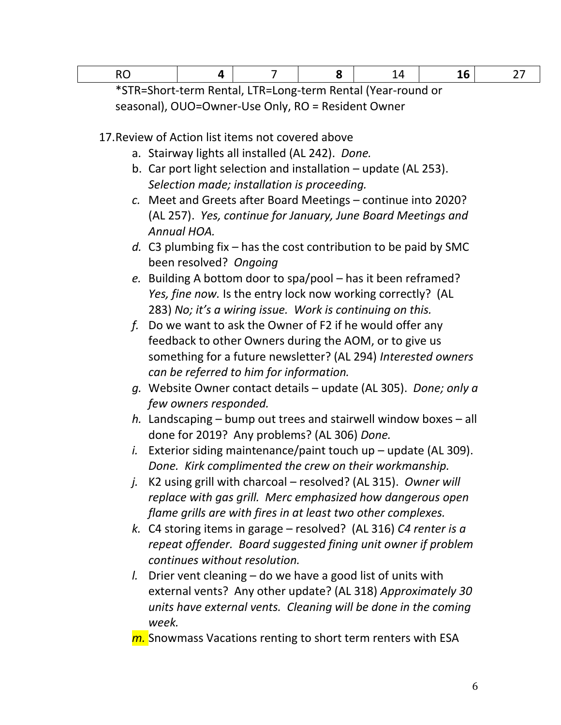|--|--|--|--|--|--|--|--|

\*STR=Short-term Rental, LTR=Long-term Rental (Year-round or seasonal), OUO=Owner-Use Only, RO = Resident Owner

17.Review of Action list items not covered above

- a. Stairway lights all installed (AL 242). *Done.*
- b. Car port light selection and installation update (AL 253). *Selection made; installation is proceeding.*
- *c.* Meet and Greets after Board Meetings continue into 2020? (AL 257). *Yes, continue for January, June Board Meetings and Annual HOA.*
- *d.* C3 plumbing fix has the cost contribution to be paid by SMC been resolved? *Ongoing*
- *e.* Building A bottom door to spa/pool has it been reframed? *Yes, fine now.* Is the entry lock now working correctly? (AL 283) *No; it's a wiring issue. Work is continuing on this.*
- *f.* Do we want to ask the Owner of F2 if he would offer any feedback to other Owners during the AOM, or to give us something for a future newsletter? (AL 294) *Interested owners can be referred to him for information.*
- *g.* Website Owner contact details update (AL 305). *Done; only a few owners responded.*
- *h.* Landscaping bump out trees and stairwell window boxes all done for 2019? Any problems? (AL 306) *Done.*
- *i.* Exterior siding maintenance/paint touch up update (AL 309). *Done. Kirk complimented the crew on their workmanship.*
- *j.* K2 using grill with charcoal resolved? (AL 315). *Owner will replace with gas grill. Merc emphasized how dangerous open flame grills are with fires in at least two other complexes.*
- *k.* C4 storing items in garage resolved? (AL 316) *C4 renter is a repeat offender. Board suggested fining unit owner if problem continues without resolution.*
- *l.* Drier vent cleaning do we have a good list of units with external vents? Any other update? (AL 318) *Approximately 30 units have external vents. Cleaning will be done in the coming week.*
- *m.* Snowmass Vacations renting to short term renters with ESA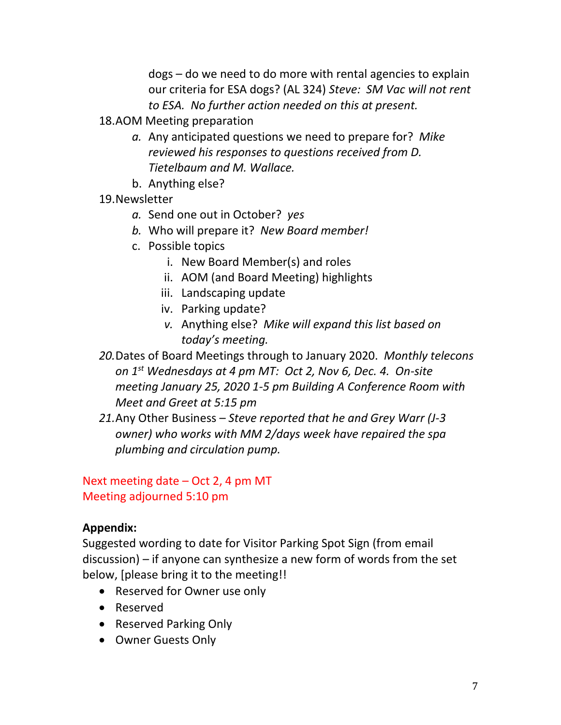dogs – do we need to do more with rental agencies to explain our criteria for ESA dogs? (AL 324) *Steve: SM Vac will not rent to ESA. No further action needed on this at present.*

- 18.AOM Meeting preparation
	- *a.* Any anticipated questions we need to prepare for? *Mike reviewed his responses to questions received from D. Tietelbaum and M. Wallace.*
	- b. Anything else?
- 19.Newsletter
	- *a.* Send one out in October? *yes*
	- *b.* Who will prepare it? *New Board member!*
	- c. Possible topics
		- i. New Board Member(s) and roles
		- ii. AOM (and Board Meeting) highlights
		- iii. Landscaping update
		- iv. Parking update?
		- *v.* Anything else? *Mike will expand this list based on today's meeting.*
- *20.*Dates of Board Meetings through to January 2020. *Monthly telecons on 1st Wednesdays at 4 pm MT: Oct 2, Nov 6, Dec. 4. On-site meeting January 25, 2020 1-5 pm Building A Conference Room with Meet and Greet at 5:15 pm*
- *21.*Any Other Business *Steve reported that he and Grey Warr (J-3 owner) who works with MM 2/days week have repaired the spa plumbing and circulation pump.*

# Next meeting date – Oct 2, 4 pm MT Meeting adjourned 5:10 pm

## **Appendix:**

Suggested wording to date for Visitor Parking Spot Sign (from email discussion) – if anyone can synthesize a new form of words from the set below, [please bring it to the meeting!!

- Reserved for Owner use only
- Reserved
- Reserved Parking Only
- Owner Guests Only